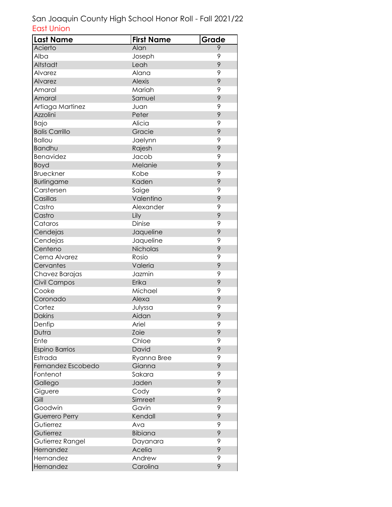| <b>Last Name</b>      | <b>First Name</b> | Grade |
|-----------------------|-------------------|-------|
| Acierto               | Alan              | 9     |
| Alba                  | Joseph            | 9     |
| Altstadt              | Leah              | 9     |
| Alvarez               | Alana             | 9     |
| Alvarez               | <b>Alexis</b>     | 9     |
| Amaral                | Mariah            | 9     |
| Amaral                | Samuel            | 9     |
| Artiaga Martinez      | Juan              | 9     |
| Azzolini              | Peter             | 9     |
| Bajo                  | Alicia            | 9     |
| <b>Balis Carrillo</b> | Gracie            | 9     |
| <b>Ballou</b>         | Jaelynn           | 9     |
| Bandhu                | Rajesh            | 9     |
| Benavidez             | Jacob             | 9     |
| Boyd                  | Melanie           | 9     |
| <b>Brueckner</b>      | Kobe              | 9     |
| Burlingame            | Kaden             | 9     |
| Carstersen            | Saige             | 9     |
| Casillas              | Valentino         | 9     |
| Castro                | Alexander         | 9     |
| Castro                | Lily              | 9     |
| Cataros               | Dinise            | 9     |
| Cendejas              | Jaqueline         | 9     |
| Cendejas              | Jaqueline         | 9     |
| Centeno               | Nicholas          | 9     |
| Cerna Alvarez         | Rosio             | 9     |
| Cervantes             | Valeria           | 9     |
| Chavez Barajas        | Jazmin            | 9     |
| Civil Campos          | Erika             | 9     |
| Cooke                 | Michael           | 9     |
| Coronado              | Alexa             | 9     |
| Cortez                | Julyssa           | 9     |
| <b>Dakins</b>         | Aidan             | 9     |
| Denfip                | Ariel             | 9     |
| Dutra                 | Zoie              | 9     |
| Ente                  | Chloe             | 9     |
| <b>Espino Barrios</b> | David             | 9     |
| Estrada               | Ryanna Bree       | 9     |
| Fernandez Escobedo    | Gianna            | 9     |
| Fontenot              | Sakara            | 9     |
| Gallego               | Jaden             | 9     |
| Giguere               | Cody              | 9     |
| Gill                  | Simreet           | 9     |
| Goodwin               | Gavin             | 9     |
| Guerrero Perry        | Kendall           | 9     |
| Gutierrez             | Ava               | 9     |
| Gutierrez             | <b>Bibiana</b>    | 9     |
| Gutierrez Rangel      | Dayanara          | 9     |
| Hernandez             | Acelia            | 9     |
| Hernandez             | Andrew            | 9     |
| Hernandez             | Carolina          | 9     |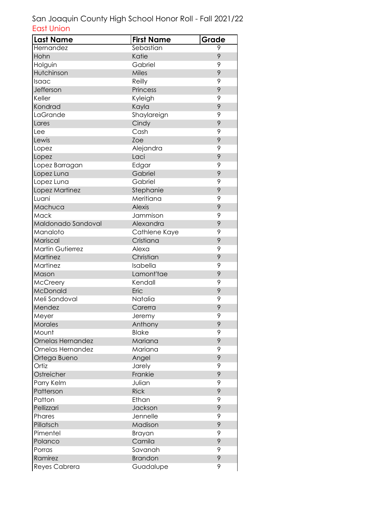| <b>Last Name</b>        | <b>First Name</b> | Grade |
|-------------------------|-------------------|-------|
| Hernandez               | Sebastian         | 9     |
| Hohn                    | Katie             | 9     |
| Holguin                 | Gabriel           | 9     |
| Hutchinson              | Miles             | 9     |
| Isaac                   | Reilly            | 9     |
| Jefferson               | Princess          | 9     |
| Keller                  | Kyleigh           | 9     |
| Kondrad                 | Kayla             | 9     |
| LaGrande                | Shaylareign       | 9     |
| Lares                   | Cindy             | 9     |
| Lee                     | Cash              | 9     |
| Lewis                   | Zoe               | 9     |
| Lopez                   | Alejandra         | 9     |
| Lopez                   | Laci              | 9     |
| Lopez Barragan          | Edgar             | 9     |
| Lopez Luna              | Gabriel           | 9     |
| Lopez Luna              | Gabriel           | 9     |
| Lopez Martinez          | Stephanie         | 9     |
| Luani                   | Meritiana         | 9     |
| Machuca                 | <b>Alexis</b>     | 9     |
| Mack                    | Jammison          | 9     |
| Maldonado Sandoval      | Alexandra         | 9     |
| Manaloto                | Cathlene Kaye     | 9     |
| Mariscal                | Cristiana         | 9     |
| <b>Martin Gutierrez</b> | Alexa             | 9     |
| Martinez                | Christian         | 9     |
| Martinez                | Isabella          | 9     |
| Mason                   | Lamont'tae        | 9     |
| McCreery                | Kendall           | 9     |
| McDonald                | Eric              | 9     |
| Meli Sandoval           | Natalia           | 9     |
| Mendez                  | Carerra           | 9     |
| Meyer                   | Jeremy            | 9     |
| Morales                 | Anthony           | 9     |
| Mount                   | <b>Blake</b>      | 9     |
| Ornelas Hernandez       | Mariana           | 9     |
| Ornelas Hernandez       | Mariana           | 9     |
| Ortega Bueno            | Angel             | 9     |
| Ortiz                   | Jarely            | 9     |
| Ostreicher              | Frankie           | 9     |
| Parry Kelm              | Julian            | 9     |
| Patterson               | <b>Rick</b>       | 9     |
| Patton                  | Ethan             | 9     |
| Pellizzari              | Jackson           | 9     |
| Phares                  | Jennelle          | 9     |
| Pillatsch               | Madison           | 9     |
| Pimentel                | Brayan            | 9     |
| Polanco                 | Camila            | 9     |
| Porras                  | Savanah           | 9     |
| Ramirez                 | <b>Brandon</b>    | 9     |
| Reyes Cabrera           | Guadalupe         | 9     |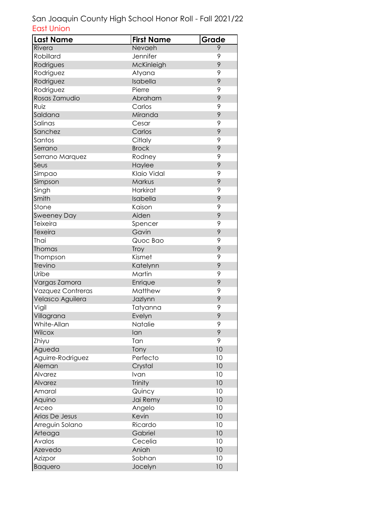| <b>Last Name</b>   | <b>First Name</b> | Grade |
|--------------------|-------------------|-------|
| Rivera             | Nevaeh            | 9     |
| Robillard          | Jennifer          | 9     |
| Rodrigues          | McKinleigh        | 9     |
| Rodriguez          | Atyana            | 9     |
| Rodriguez          | Isabella          | 9     |
| Rodriguez          | Pierre            | 9     |
| Rosas Zamudio      | Abraham           | 9     |
| Ruiz               | Carlos            | 9     |
| Saldana            | Miranda           | 9     |
| Salinas            | Cesar             | 9     |
| Sanchez            | Carlos            | 9     |
| Santos             | Citlaly           | 9     |
| Serrano            | <b>Brock</b>      | 9     |
| Serrano Marquez    | Rodney            | 9     |
| Seus               | Haylee            | 9     |
| Simpao             | Klaio Vidal       | 9     |
| Simpson            | Markus            | 9     |
| Singh              | <b>Harkirat</b>   | 9     |
| Smith              | Isabella          | 9     |
| Stone              | Kaison            | 9     |
| <b>Sweeney Day</b> | Aiden             | 9     |
| Teixeira           | Spencer           | 9     |
| Texeira            | Gavin             | 9     |
| Thai               | Quoc Bao          | 9     |
| Thomas             | Troy              | 9     |
| Thompson           | Kismet            | 9     |
| Trevino            | Katelynn          | 9     |
| Uribe              | Martin            | 9     |
| Vargas Zamora      | Enrique           | 9     |
| Vazquez Contreras  | <b>Matthew</b>    | 9     |
| Velasco Aguilera   | Jazlynn           | 9     |
| Vigil              | Tatyanna          | 9     |
| Villagrana         | Evelyn            | 9     |
| White-Allan        | Natalie           | 9     |
| Wilcox             | lan               | 9     |
| Zhiyu              | Tan               | 9     |
| Agueda             | Tony              | 10    |
| Aguirre-Rodriguez  | Perfecto          | 10    |
| Aleman             | Crystal           | 10    |
| Alvarez            | Ivan              | 10    |
| Alvarez            | Trinity           | 10    |
| Amaral             | Quincy            | 10    |
| Aquino             | Jai Remy          | 10    |
| Arceo              | Angelo            | 10    |
| Arias De Jesus     | Kevin             | 10    |
| Arreguin Solano    | Ricardo           | 10    |
| Arteaga            | Gabriel           | 10    |
| Avalos             | Cecelia           | 10    |
| Azevedo            | Aniah             | 10    |
| Azizpor            | Sobhan            | 10    |
| <b>Baquero</b>     | Jocelyn           | 10    |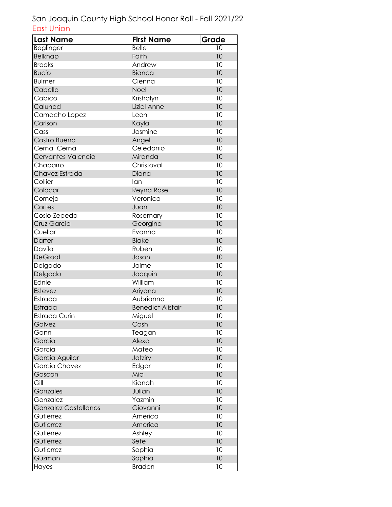| <b>Last Name</b>            | <b>First Name</b>        | Grade |
|-----------------------------|--------------------------|-------|
| Beglinger                   | <b>Belle</b>             | 10    |
| <b>Belknap</b>              | Faith                    | 10    |
| <b>Brooks</b>               | Andrew                   | 10    |
| <b>Bucio</b>                | <b>Bianca</b>            | 10    |
| <b>Bulmer</b>               | Cienna                   | 10    |
| Cabello                     | Noel                     | 10    |
| Cabico                      | Krishalyn                | 10    |
| Calunod                     | Liziel Anne              | 10    |
| Camacho Lopez               | Leon                     | 10    |
| Carlson                     | Kayla                    | 10    |
| Cass                        | Jasmine                  | 10    |
| Castro Bueno                | Angel                    | 10    |
| Cerna Cerna                 | Celedonio                | 10    |
| Cervantes Valencia          | Miranda                  | 10    |
| Chaparro                    | Christoval               | 10    |
| Chavez Estrada              | Diana                    | 10    |
| Collier                     | lan                      | 10    |
| Colocar                     | Reyna Rose               | 10    |
| Cornejo                     | Veronica                 | 10    |
| Cortes                      | Juan                     | 10    |
| Cosio-Zepeda                | Rosemary                 | 10    |
| Cruz Garcia                 | Georgina                 | 10    |
| Cuellar                     | Evanna                   | 10    |
| Darter                      | <b>Blake</b>             | 10    |
| Davila                      | Ruben                    | 10    |
| DeGroot                     | Jason                    | 10    |
| Delgado                     | Jaime                    | 10    |
| Delgado                     | Joaquin                  | 10    |
| Ednie                       | William                  | 10    |
| Estevez                     | Ariyana                  | 10    |
| Estrada                     | Aubrianna                | 10    |
| Estrada                     | <b>Benedict Alistair</b> | 10    |
| Estrada Curin               | Miguel                   | 10    |
| Galvez                      | Cash                     | 10    |
| Gann                        | Teagan                   | 10    |
| Garcia                      | Alexa                    | 10    |
| Garcia                      | Mateo                    | 10    |
| Garcia Aguilar              | Jatziry                  | 10    |
| Garcia Chavez               | Edgar                    | 10    |
| Gascon                      | Mia                      | 10    |
| Gill                        | Kianah                   | 10    |
| Gonzales                    | Julian                   | 10    |
| Gonzalez                    | Yazmin                   | 10    |
| <b>Gonzalez Castellanos</b> | Giovanni                 | 10    |
| Gutierrez                   | America                  | 10    |
| Gutierrez                   | America                  | 10    |
| Gutierrez                   | Ashley                   | 10    |
| Gutierrez                   | Sete                     | 10    |
| Gutierrez                   | Sophia                   | 10    |
| Guzman                      | Sophia                   | 10    |
| Hayes                       | <b>Braden</b>            | 10    |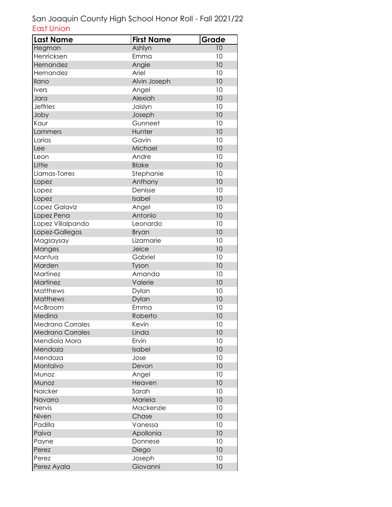| <b>Last Name</b>        | <b>First Name</b> | Grade |
|-------------------------|-------------------|-------|
| Hegman                  | Ashlyn            | 10    |
| Henricksen              | Emma              | 10    |
| Hernandez               | Angie             | 10    |
| Hernandez               | Ariel             | 10    |
| <b>Ilano</b>            | Alvin Joseph      | 10    |
| <b>Ivers</b>            | Angel             | 10    |
| Jara                    | Alexiah           | 10    |
| <b>Jeffries</b>         | Jaislyn           | 10    |
| Joby                    | Joseph            | 10    |
| Kaur                    | Gunneet           | 10    |
| Lammers                 | Hunter            | 10    |
| Larios                  | Gavin             | 10    |
| Lee                     | Michael           | 10    |
| Leon                    | Andre             | 10    |
| Little                  | <b>Blake</b>      | 10    |
| Llamas-Torres           | Stephanie         | 10    |
| Lopez                   | Anthony           | 10    |
| Lopez                   | Denisse           | 10    |
| Lopez                   | Isabel            | 10    |
| Lopez Galaviz           | Angel             | 10    |
| Lopez Pena              | Antonio           | 10    |
| Lopez Villalpando       | Leonardo          | 10    |
| Lopez-Gallegos          | <b>Bryan</b>      | 10    |
| Magsaysay               | Lizamarie         | 10    |
| Manges                  | Jeice             | 10    |
| Mantua                  | Gabriel           | 10    |
| Marden                  | Tyson             | 10    |
| Martinez                | Amanda            | 10    |
| Martinez                | Valerie           | 10    |
| Matthews                | Dylan             | 10    |
| Matthews                | Dylan             | 10    |
| McBroom                 | Emma              | 10    |
| Medina                  | Roberto           | 10    |
| <b>Medrano Corrales</b> | Kevin             | 10    |
| <b>Medrano Corrales</b> | Linda             | 10    |
| Mendiola Mora           | Ervin             | 10    |
| Mendoza                 | Isabel            | 10    |
| Mendoza                 | Jose              | 10    |
| Montalvo                | Devon             | 10    |
| Munoz                   | Angel             | 10    |
| Munoz                   | Heaven            | 10    |
| Naicker                 | Sarah             | 10    |
| Navarro                 | Mariela           | 10    |
| Nervis                  | Mackenzie         | 10    |
| Niven                   | Chase             | 10    |
| Padilla                 | Vanessa           | 10    |
| Paiva                   | Apollonia         | 10    |
| Payne                   | Donnese           | 10    |
| Perez                   | Diego             | 10    |
| Perez                   | Joseph            | 10    |
| Perez Ayala             | Giovanni          | 10    |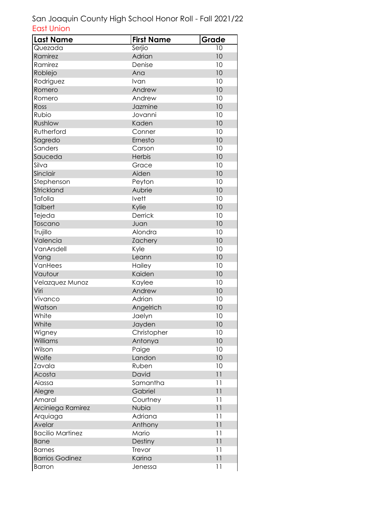| <b>Last Name</b>        | <b>First Name</b> | Grade          |
|-------------------------|-------------------|----------------|
| Quezada                 | Serjio            | 10             |
| Ramirez                 | Adrian            | 10             |
| Ramirez                 | Denise            | 10             |
| Roblejo                 | Ana               | 10             |
| Rodriguez               | Ivan              | 10             |
| Romero                  | Andrew            | 10             |
| Romero                  | Andrew            | 10             |
| Ross                    | Jazmine           | 10             |
| Rubio                   | Jovanni           | 10             |
| Rushlow                 | Kaden             | 10             |
| Rutherford              | Conner            | 10             |
| Sagredo                 | Ernesto           | 10             |
| Sanders                 | Carson            | 10             |
| Sauceda                 | Herbis            | 10             |
| Silva                   | Grace             | 10             |
| Sinclair                | Aiden             | 10             |
| Stephenson              | Peyton            | 10             |
| Strickland              | Aubrie            | 10             |
| Tafolla                 | Ivett             | 10             |
| <b>Talbert</b>          | Kylie             | 10             |
| Tejeda                  | Derrick           | 10             |
| Toscano                 | Juan              | 10             |
| Trujillo                | Alondra           | 10             |
| Valencia                | <b>Zachery</b>    | 10             |
| VanArsdell              | Kyle              | 10             |
| Vang                    | Leann             | 10             |
| VanHees                 | Hailey            | 10             |
| Vautour                 | Kaiden            | 10             |
| Velazquez Munoz         | Kaylee            | 10             |
| Viri                    | Andrew            | 10             |
| Vivanco                 | Adrian            | 10             |
| Watson                  | Angelrich         | 10             |
| White                   | Jaelyn            | 10             |
| White                   | Jayden            | 10             |
| Wigney                  | Christopher       | 10             |
| Williams                | Antonya           | 10             |
| Wilson                  | Paige             | 10             |
| Wolfe                   | Landon            | 10             |
| Zavala                  | Ruben             | 10             |
| Acosta                  | David             | 11             |
| Aiassa                  | Samantha          | 11             |
| Alegre                  | Gabriel           | $\overline{1}$ |
| Amaral                  | Courtney          | 11             |
| Arciniega Ramirez       | Nubia             | 11             |
| Arquiaga                | Adriana           | 11             |
| Avelar                  | Anthony           | 11             |
| <b>Bacilio Martinez</b> | Mario             | 11             |
| <b>Bane</b>             | Destiny           | 11             |
| <b>Barnes</b>           | Trevor            | 11             |
| <b>Barrios Godinez</b>  | Karina            | 11             |
| <b>Barron</b>           | Jenessa           | 11             |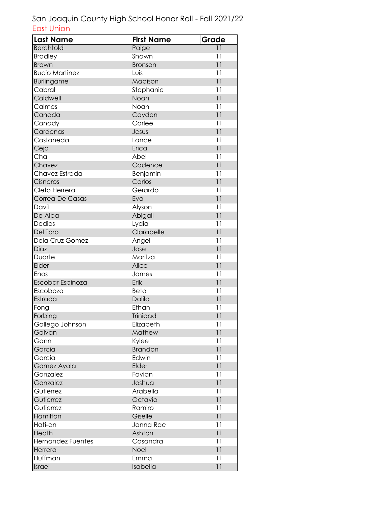| <b>Last Name</b>         | <b>First Name</b> | Grade           |
|--------------------------|-------------------|-----------------|
| <b>Berchtold</b>         | Paige             | 11              |
| <b>Bradley</b>           | Shawn             | 11              |
| <b>Brown</b>             | Bronson           | 11              |
| <b>Bucio Martinez</b>    | Luis              | 11              |
| Burlingame               | Madison           | $\overline{11}$ |
| Cabral                   | Stephanie         | 11              |
| Caldwell                 | Noah              | $\overline{11}$ |
| Calmes                   | Noah              | 11              |
| Canada                   | Cayden            | 11              |
| Canady                   | Carlee            | 11              |
| Cardenas                 | Jesus             | 11              |
| Castaneda                | Lance             | 11              |
| Ceja                     | Erica             | 11              |
| Cha                      | Abel              | 11              |
| Chavez                   | Cadence           | 11              |
| Chavez Estrada           | Benjamin          | 11              |
| Cisneros                 | Carlos            | 11              |
| Cleto Herrera            | Gerardo           | 11              |
| Correa De Casas          | Eva               | $\overline{11}$ |
| Davit                    | Alyson            | 11              |
| De Alba                  | Abigail           | $\overline{11}$ |
| Dedios                   | Lydia             | 11              |
| Del Toro                 | Clarabelle        | 11              |
| Dela Cruz Gomez          | Angel             | 11              |
| Diaz                     | Jose              | 11              |
| Duarte                   | Maritza           | 11              |
| Elder                    | Alice             | $\overline{11}$ |
| Enos                     | James             | 11              |
| Escobar Espinoza         | Erik              | 11              |
| Escoboza                 | Beto              | 11              |
| Estrada                  | Dalila            | $\overline{11}$ |
| Fong                     | Ethan             | 11              |
| Forbing                  | <b>Trinidad</b>   | 11              |
| Gallego Johnson          | Elizabeth         | 11              |
| Galvan                   | Mathew            | 11              |
| Gann                     | Kylee             | 11              |
| Garcia                   | <b>Brandon</b>    | 11              |
| Garcia                   | Edwin             | 11              |
| Gomez Ayala              | Elder             | 11              |
| Gonzalez                 | Favian            | 11              |
| Gonzalez                 | Joshua            | 11              |
| Gutierrez                | Arabella          | 11              |
| Gutierrez                | Octavio           | 11              |
| Gutierrez                | Ramiro            | 11              |
| Hamilton                 | Giselle           | 11              |
| Hati-an                  | Janna Rae         | 11              |
| Heath                    | Ashton            | 11              |
| <b>Hernandez Fuentes</b> | Casandra          | 11              |
| Herrera                  | Noel              | 11              |
| Huffman                  | Emma              | 11              |
| Israel                   | Isabella          | 11              |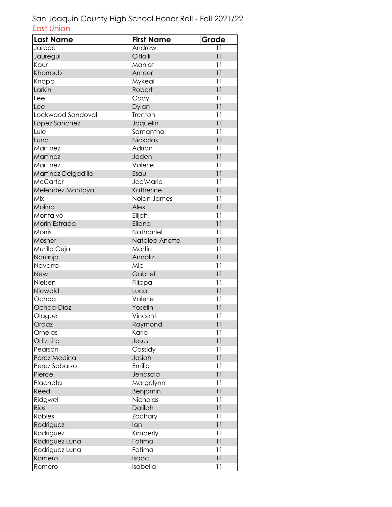| <b>Last Name</b>    | <b>First Name</b> | Grade           |
|---------------------|-------------------|-----------------|
| Jarboe              | Andrew            | 11              |
| Jauregui            | Citlalli          | 11              |
| Kaur                | Manjot            | 11              |
| Kharroub            | Ameer             | 11              |
| Knapp               | Mykeal            | 11              |
| Larkin              | Robert            | 11              |
| Lee                 | Cody              | 11              |
| Lee                 | Dylan             | 11              |
| Lockwood Sandoval   | Trenton           | 11              |
| Lopez Sanchez       | Jaquelin          | 11              |
| Lule                | Samantha          | 11              |
| Luna                | Nickolas          | 11              |
| Martinez            | Adrian            | 11              |
| Martinez            | Jaden             | 11              |
| Martinez            | Valerie           | 11              |
| Martinez Delgadillo | Esau              | 11              |
| <b>McCarter</b>     | Jea'Marie         | 11              |
| Melendez Montoya    | Katherine         | 11              |
| Mix                 | Nolan James       | 11              |
| Molina              | <b>Alex</b>       | 11              |
| Montalvo            | Elijah            | 11              |
| Morin Estrada       | Eliana            | 11              |
| Morris              | Nathaniel         | 11              |
| Mosher              | Natalee Anette    | 11              |
| Murillo Ceja        | Martin            | 11              |
| Naranjo             | Annaliz           | 11              |
| Navarro             | Mia               | 11              |
| <b>New</b>          | Gabriel           | $\overline{11}$ |
| Nielsen             | Filippa           | 11              |
| Niewald             | Luca              | 11              |
| Ochoa               | Valerie           | 11              |
| Ochoa-Diaz          | Yoselin           | 11              |
| Olague              | Vincent           | 11              |
| Ordaz               | Raymond           | 11              |
| Ornelas             | Karla             | 11              |
| Ortiz Lira          | Jesus             | 11              |
| Pearson             | Cassidy           | 11              |
| Perez Medina        | Josiah            | 11              |
| Perez Sobarzo       | Emilio            | 11              |
| Pierce              | Jenascia          | 11              |
| Placheta            | Margelynn         | 11              |
| Reed                | Benjamin          | 11              |
| Ridgwell            | Nicholas          | 11              |
| Rios                | Dalilah           | 11              |
| Robles              | Zachary           | 11              |
| Rodriguez           | lan               | 11              |
| Rodriguez           | Kimberly          | 11              |
| Rodriguez Luna      | Fatima            | 11              |
| Rodriguez Luna      | Fatima            | 11              |
| Romero              | Isaac             | 11              |
| Romero              | Isabella          | 11              |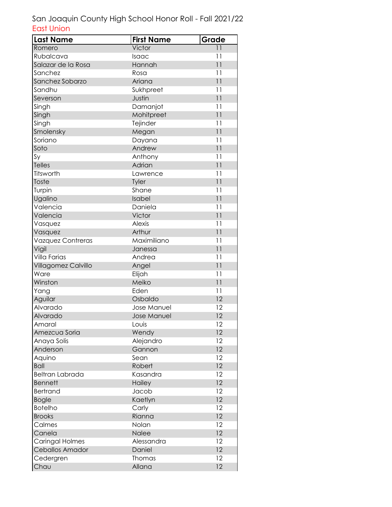| <b>Last Name</b>       | <b>First Name</b>  | Grade           |
|------------------------|--------------------|-----------------|
| Romero                 | Victor             | 11              |
| Rubalcava              | Isaac              | 11              |
| Salazar de la Rosa     | Hannah             | 11              |
| Sanchez                | Rosa               | 11              |
| Sanchez Sobarzo        | Ariana             | $\overline{11}$ |
| Sandhu                 | Sukhpreet          | 11              |
| Severson               | Justin             | $\overline{11}$ |
| Singh                  | Damanjot           | 11              |
| Singh                  | Mohitpreet         | 11              |
| Singh                  | Tejinder           | 11              |
| Smolensky              | Megan              | 11              |
| Soriano                | Dayana             | 11              |
| Soto                   | Andrew             | 11              |
| Sy                     | Anthony            | 11              |
| <b>Telles</b>          | Adrian             | 11              |
| Titsworth              | Lawrence           | 11              |
| Toste                  | Tyler              | 11              |
| Turpin                 | Shane              | 11              |
| Ugalino                | Isabel             | $\overline{11}$ |
| Valencia               | Daniela            | 11              |
| Valencia               | Victor             | $\overline{11}$ |
| Vasquez                | <b>Alexis</b>      | 11              |
| Vasquez                | Arthur             | 11              |
| Vazquez Contreras      | Maximiliano        | 11              |
| Vigil                  | Janessa            | 11              |
| Villa Farias           | Andrea             | 11              |
| Villagomez Calvillo    | Angel              | $\overline{11}$ |
| Ware                   | Elijah             | 11              |
| Winston                | Meiko              | 11              |
| Yang                   | Eden               | 11              |
| Aguilar                | Osbaldo            | 12              |
| Alvarado               | Jose Manuel        | 12              |
| Alvarado               | <b>Jose Manuel</b> | 12              |
| Amaral                 | Louis              | 12              |
| Amezcua Soria          | Wendy              | 12              |
| Anaya Solis            | Alejandro          | 12              |
| Anderson               | Gannon             | 12              |
| Aquino                 | Sean               | 12              |
| <b>Ball</b>            | Robert             | 12              |
| <b>Beltran Labrada</b> | Kasandra           | 12              |
| <b>Bennett</b>         | Hailey             | 12              |
| <b>Bertrand</b>        | Jacob              | 12              |
| <b>Bogle</b>           | Kaetlyn            | 12              |
| <b>Botelho</b>         | Carly              | 12              |
| <b>Brooks</b>          | Rianna             | 12              |
| Calmes                 | Nolan              | 12              |
| Canela                 | Nalee              | 12              |
| <b>Caringal Holmes</b> | Alessandra         | 12              |
| <b>Ceballos Amador</b> | Daniel             | 12              |
| Cedergren              | Thomas             | 12              |
| Chau                   | Allana             | 12              |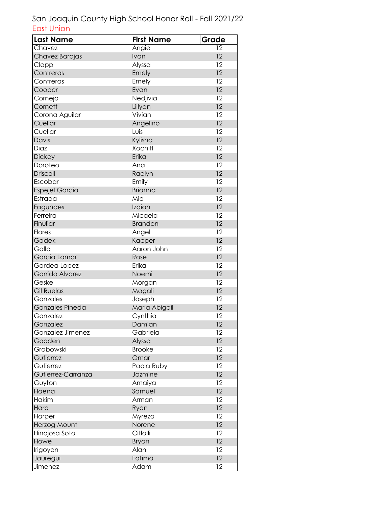| <b>Last Name</b>      | <b>First Name</b> | Grade |
|-----------------------|-------------------|-------|
| Chavez                | Angie             | 12    |
| Chavez Barajas        | Ivan              | 12    |
| Clapp                 | Alyssa            | 12    |
| Contreras             | Emely             | 12    |
| Contreras             | Emely             | 12    |
| Cooper                | Evan              | 12    |
| Cornejo               | Nedjivia          | 12    |
| Cornett               | Lillyan           | 12    |
| Corona Aguilar        | Vivian            | 12    |
| Cuellar               | Angelino          | 12    |
| Cuellar               | Luis              | 12    |
| Davis                 | Kylisha           | 12    |
| Diaz                  | <b>Xochitl</b>    | 12    |
| <b>Dickey</b>         | Erika             | 12    |
| Doroteo               | Ana               | 12    |
| <b>Driscoll</b>       | Raelyn            | 12    |
| Escobar               | Emily             | 12    |
| <b>Espejel Garcia</b> | <b>Brianna</b>    | 12    |
| Estrada               | Mia               | 12    |
| Fagundes              | Izaiah            | 12    |
| Ferreira              | Micaela           | 12    |
| Finuliar              | <b>Brandon</b>    | 12    |
| Flores                | Angel             | 12    |
| Gadek                 | Kacper            | 12    |
| Gallo                 | Aaron John        | 12    |
| Garcia Lamar          | Rose              | 12    |
| Gardea Lopez          | Erika             | 12    |
| Garrido Alvarez       | Noemi             | 12    |
| Geske                 | Morgan            | 12    |
| <b>Gil Ruelas</b>     | Magali            | 12    |
| Gonzales              | Joseph            | 12    |
| Gonzales Pineda       | Maria Abigail     | 12    |
| Gonzalez              | Cynthia           | 12    |
| Gonzalez              | Damian            | 12    |
| Gonzalez Jimenez      | Gabriela          | 12    |
| Gooden                | Alyssa            | 12    |
| Grabowski             | <b>Brooke</b>     | 12    |
| Gutierrez             | Omar              | 12    |
| Gutierrez             | Paola Ruby        | 12    |
| Gutierrez-Carranza    | Jazmine           | 12    |
| Guyton                | Amaiya            | 12    |
| Haena                 | Samuel            | 12    |
| Hakim                 | Arman             | 12    |
| Haro                  | Ryan              | 12    |
| Harper                | Myreza            | 12    |
| Herzog Mount          | Norene            | 12    |
| Hinojosa Soto         | Citlalli          | 12    |
| Howe                  | Bryan             | 12    |
| Irigoyen              | Alan              | 12    |
| Jauregui              | Fatima            | 12    |
| Jimenez               | Adam              | 12    |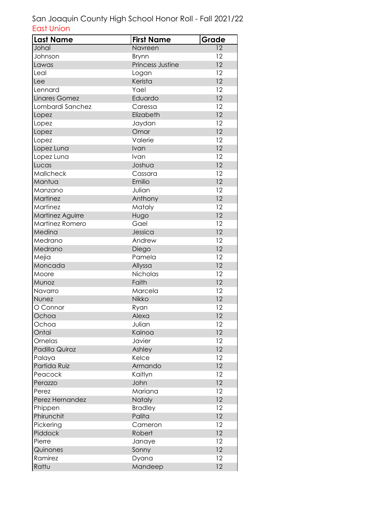| <b>Last Name</b> | <b>First Name</b> | Grade |
|------------------|-------------------|-------|
| Johal            | Navreen           | 12    |
| Johnson          | Brynn             | 12    |
| Lawas            | Princess Justine  | 12    |
| Leal             | Logan             | 12    |
| Lee              | Kerista           | 12    |
| Lennard          | Yael              | 12    |
| Linares Gomez    | Eduardo           | 12    |
| Lombardi Sanchez | Caressa           | 12    |
| Lopez            | Elizabeth         | 12    |
| Lopez            | Jaydan            | 12    |
| Lopez            | Omar              | 12    |
| Lopez            | Valerie           | 12    |
| Lopez Luna       | Ivan              | 12    |
| Lopez Luna       | Ivan              | 12    |
| Lucas            | Joshua            | 12    |
| Mallcheck        | Cassara           | 12    |
| Mantua           | Emilio            | 12    |
| Manzano          | Julian            | 12    |
| Martinez         | Anthony           | 12    |
| Martinez         | Mataly            | 12    |
| Martinez Aguirre | Hugo              | 12    |
| Martinez Romero  | Gael              | 12    |
| Medina           | Jessica           | 12    |
| Medrano          | Andrew            | 12    |
| Medrano          | Diego             | 12    |
| Mejia            | Pamela            | 12    |
| Moncada          | Allyssa           | 12    |
| Moore            | Nicholas          | 12    |
| Munoz            | Faith             | 12    |
| Navarro          | Marcela           | 12    |
| Nunez            | Nikko             | 12    |
| O Connor         | Ryan              | 12    |
| Ochoa            | Alexa             | 12    |
| Ochoa            | Julian            | 12    |
| Ontai            | Kainoa            | 12    |
| Ornelas          | Javier            | 12    |
| Padilla Quiroz   | Ashley            | 12    |
| Palaya           | Kelce             | 12    |
| Partida Ruiz     | Armando           | 12    |
| Peacock          | Kaitlyn           | 12    |
| Perazzo          | John              | 12    |
| Perez            | Mariana           | 12    |
| Perez Hernandez  | Nataly            | 12    |
| Phippen          | <b>Bradley</b>    | 12    |
| Phirunchit       | Palita            | 12    |
| Pickering        | Cameron           | 12    |
| Piddock          | Robert            | 12    |
| Pierre           | Janaye            | 12    |
| Quinones         | Sonny             | 12    |
| Ramirez          | Dyana             | 12    |
| Rattu            | Mandeep           | 12    |